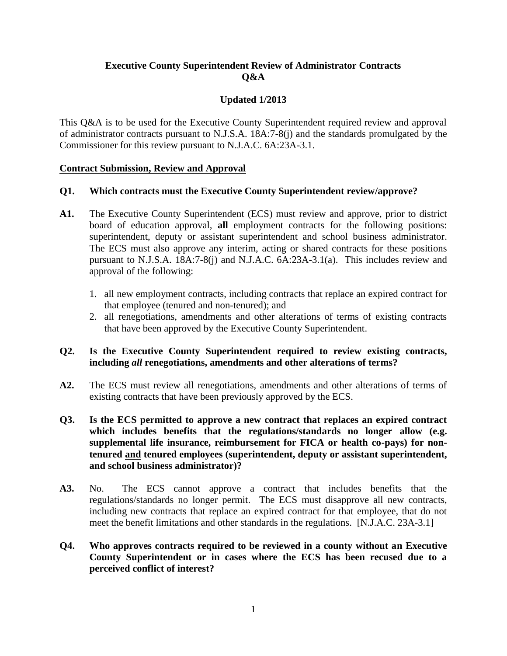# **Executive County Superintendent Review of Administrator Contracts Q&A**

# **Updated 1/2013**

This Q&A is to be used for the Executive County Superintendent required review and approval of administrator contracts pursuant to N.J.S.A. 18A:7-8(j) and the standards promulgated by the Commissioner for this review pursuant to N.J.A.C. 6A:23A-3.1.

### **Contract Submission, Review and Approval**

## **Q1. Which contracts must the Executive County Superintendent review/approve?**

- **A1.** The Executive County Superintendent (ECS) must review and approve, prior to district board of education approval, **all** employment contracts for the following positions: superintendent, deputy or assistant superintendent and school business administrator. The ECS must also approve any interim, acting or shared contracts for these positions pursuant to N.J.S.A. 18A:7-8(j) and N.J.A.C. 6A:23A-3.1(a). This includes review and approval of the following:
	- 1. all new employment contracts, including contracts that replace an expired contract for that employee (tenured and non-tenured); and
	- 2. all renegotiations, amendments and other alterations of terms of existing contracts that have been approved by the Executive County Superintendent.

## **Q2. Is the Executive County Superintendent required to review existing contracts, including** *all* **renegotiations, amendments and other alterations of terms?**

- **A2.** The ECS must review all renegotiations, amendments and other alterations of terms of existing contracts that have been previously approved by the ECS.
- **Q3. Is the ECS permitted to approve a new contract that replaces an expired contract which includes benefits that the regulations/standards no longer allow (e.g. supplemental life insurance, reimbursement for FICA or health co-pays) for nontenured and tenured employees (superintendent, deputy or assistant superintendent, and school business administrator)?**
- **A3.** No. The ECS cannot approve a contract that includes benefits that the regulations/standards no longer permit. The ECS must disapprove all new contracts, including new contracts that replace an expired contract for that employee, that do not meet the benefit limitations and other standards in the regulations. [N.J.A.C. 23A-3.1]
- **Q4. Who approves contracts required to be reviewed in a county without an Executive County Superintendent or in cases where the ECS has been recused due to a perceived conflict of interest?**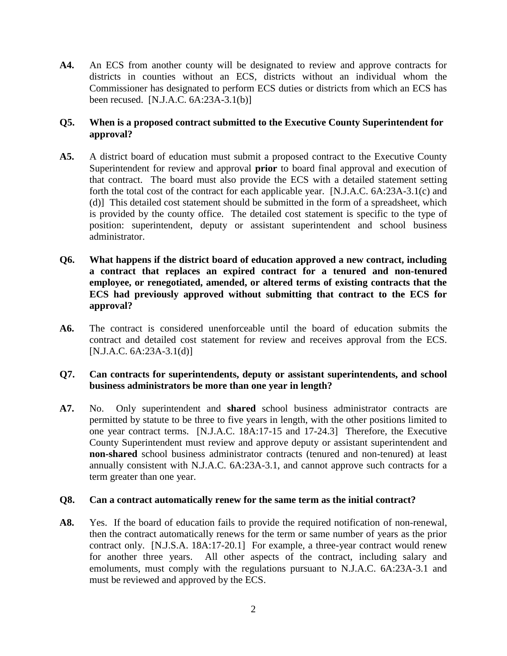**A4.** An ECS from another county will be designated to review and approve contracts for districts in counties without an ECS, districts without an individual whom the Commissioner has designated to perform ECS duties or districts from which an ECS has been recused. [N.J.A.C. 6A:23A-3.1(b)]

## **Q5. When is a proposed contract submitted to the Executive County Superintendent for approval?**

- **A5.** A district board of education must submit a proposed contract to the Executive County Superintendent for review and approval **prior** to board final approval and execution of that contract. The board must also provide the ECS with a detailed statement setting forth the total cost of the contract for each applicable year. [N.J.A.C. 6A:23A-3.1(c) and (d)] This detailed cost statement should be submitted in the form of a spreadsheet, which is provided by the county office. The detailed cost statement is specific to the type of position: superintendent, deputy or assistant superintendent and school business administrator.
- **Q6. What happens if the district board of education approved a new contract, including a contract that replaces an expired contract for a tenured and non-tenured employee, or renegotiated, amended, or altered terms of existing contracts that the ECS had previously approved without submitting that contract to the ECS for approval?**
- **A6.** The contract is considered unenforceable until the board of education submits the contract and detailed cost statement for review and receives approval from the ECS. [N.J.A.C. 6A:23A-3.1(d)]

## **Q7. Can contracts for superintendents, deputy or assistant superintendents, and school business administrators be more than one year in length?**

**A7.** No.Only superintendent and **shared** school business administrator contracts are permitted by statute to be three to five years in length, with the other positions limited to one year contract terms. [N.J.A.C. 18A:17-15 and 17-24.3] Therefore, the Executive County Superintendent must review and approve deputy or assistant superintendent and **non-shared** school business administrator contracts (tenured and non-tenured) at least annually consistent with N.J.A.C. 6A:23A-3.1, and cannot approve such contracts for a term greater than one year.

### **Q8. Can a contract automatically renew for the same term as the initial contract?**

**A8.** Yes. If the board of education fails to provide the required notification of non-renewal, then the contract automatically renews for the term or same number of years as the prior contract only. [N.J.S.A. 18A:17-20.1] For example, a three-year contract would renew for another three years. All other aspects of the contract, including salary and emoluments, must comply with the regulations pursuant to N.J.A.C. 6A:23A-3.1 and must be reviewed and approved by the ECS.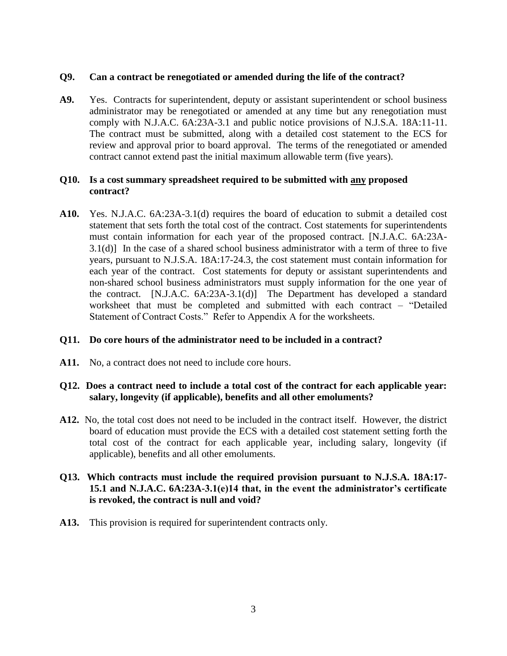## **Q9. Can a contract be renegotiated or amended during the life of the contract?**

A9. Yes. Contracts for superintendent, deputy or assistant superintendent or school business administrator may be renegotiated or amended at any time but any renegotiation must comply with N.J.A.C. 6A:23A-3.1 and public notice provisions of N.J.S.A. 18A:11-11. The contract must be submitted, along with a detailed cost statement to the ECS for review and approval prior to board approval. The terms of the renegotiated or amended contract cannot extend past the initial maximum allowable term (five years).

## **Q10. Is a cost summary spreadsheet required to be submitted with any proposed contract?**

**A10.** Yes. N.J.A.C. 6A:23A-3.1(d) requires the board of education to submit a detailed cost statement that sets forth the total cost of the contract. Cost statements for superintendents must contain information for each year of the proposed contract. [N.J.A.C. 6A:23A-3.1(d)] In the case of a shared school business administrator with a term of three to five years, pursuant to N.J.S.A. 18A:17-24.3, the cost statement must contain information for each year of the contract. Cost statements for deputy or assistant superintendents and non-shared school business administrators must supply information for the one year of the contract. [N.J.A.C. 6A:23A-3.1(d)] The Department has developed a standard worksheet that must be completed and submitted with each contract – "Detailed Statement of Contract Costs." Refer to Appendix A for the worksheets.

### **Q11. Do core hours of the administrator need to be included in a contract?**

A11. No, a contract does not need to include core hours.

## **Q12. Does a contract need to include a total cost of the contract for each applicable year: salary, longevity (if applicable), benefits and all other emoluments?**

**A12.** No, the total cost does not need to be included in the contract itself. However, the district board of education must provide the ECS with a detailed cost statement setting forth the total cost of the contract for each applicable year, including salary, longevity (if applicable), benefits and all other emoluments.

## **Q13. Which contracts must include the required provision pursuant to N.J.S.A. 18A:17- 15.1 and N.J.A.C. 6A:23A-3.1(e)14 that, in the event the administrator's certificate is revoked, the contract is null and void?**

**A13.** This provision is required for superintendent contracts only.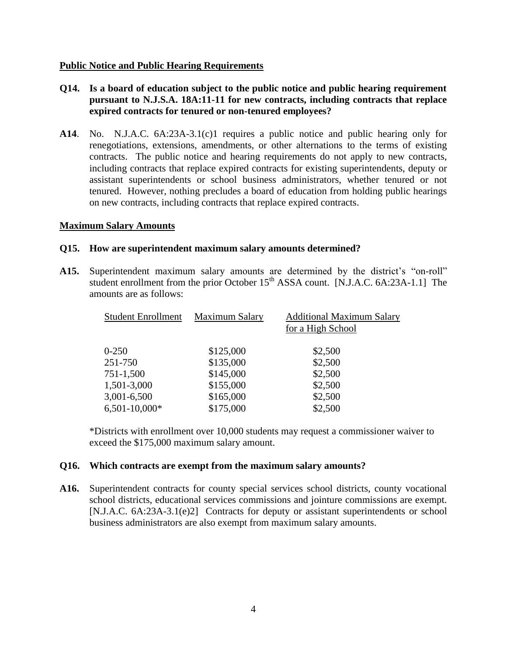### **Public Notice and Public Hearing Requirements**

- **Q14. Is a board of education subject to the public notice and public hearing requirement pursuant to N.J.S.A. 18A:11-11 for new contracts, including contracts that replace expired contracts for tenured or non-tenured employees?**
- **A14**. No. N.J.A.C. 6A:23A-3.1(c)1 requires a public notice and public hearing only for renegotiations, extensions, amendments, or other alternations to the terms of existing contracts. The public notice and hearing requirements do not apply to new contracts, including contracts that replace expired contracts for existing superintendents, deputy or assistant superintendents or school business administrators, whether tenured or not tenured. However, nothing precludes a board of education from holding public hearings on new contracts, including contracts that replace expired contracts.

### **Maximum Salary Amounts**

### **Q15. How are superintendent maximum salary amounts determined?**

**A15.** Superintendent maximum salary amounts are determined by the district's "on-roll" student enrollment from the prior October  $15<sup>th</sup>$  ASSA count. [N.J.A.C. 6A:23A-1.1] The amounts are as follows:

| <b>Student Enrollment</b> | <b>Maximum Salary</b> | <b>Additional Maximum Salary</b> |
|---------------------------|-----------------------|----------------------------------|
|                           |                       | for a High School                |
| $0 - 250$                 | \$125,000             | \$2,500                          |
| 251-750                   | \$135,000             | \$2,500                          |
| 751-1,500                 | \$145,000             | \$2,500                          |
| 1,501-3,000               | \$155,000             | \$2,500                          |
| 3,001-6,500               | \$165,000             | \$2,500                          |
| $6,501-10,000*$           | \$175,000             | \$2,500                          |

\*Districts with enrollment over 10,000 students may request a commissioner waiver to exceed the \$175,000 maximum salary amount.

#### **Q16. Which contracts are exempt from the maximum salary amounts?**

**A16.** Superintendent contracts for county special services school districts, county vocational school districts, educational services commissions and jointure commissions are exempt. [N.J.A.C. 6A:23A-3.1(e)2] Contracts for deputy or assistant superintendents or school business administrators are also exempt from maximum salary amounts.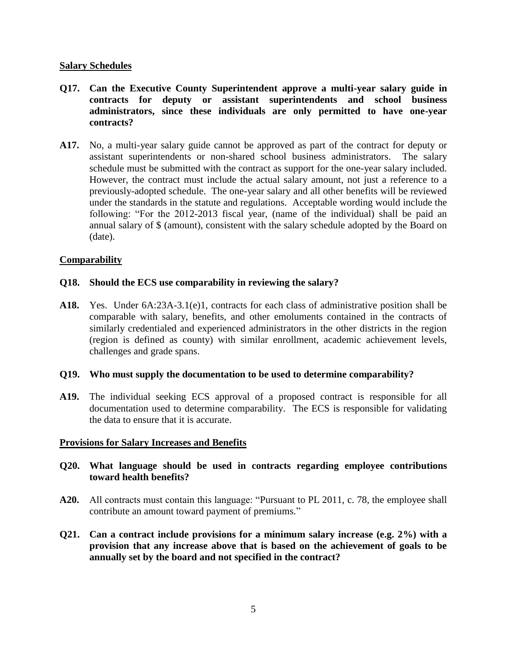### **Salary Schedules**

- **Q17. Can the Executive County Superintendent approve a multi-year salary guide in contracts for deputy or assistant superintendents and school business administrators, since these individuals are only permitted to have one-year contracts?**
- **A17.** No, a multi-year salary guide cannot be approved as part of the contract for deputy or assistant superintendents or non-shared school business administrators. The salary schedule must be submitted with the contract as support for the one-year salary included. However, the contract must include the actual salary amount, not just a reference to a previously-adopted schedule. The one-year salary and all other benefits will be reviewed under the standards in the statute and regulations.Acceptable wording would include the following: "For the 2012-2013 fiscal year, (name of the individual) shall be paid an annual salary of \$ (amount), consistent with the salary schedule adopted by the Board on (date).

### **Comparability**

### **Q18. Should the ECS use comparability in reviewing the salary?**

**A18.** Yes. Under 6A:23A-3.1(e)1, contracts for each class of administrative position shall be comparable with salary, benefits, and other emoluments contained in the contracts of similarly credentialed and experienced administrators in the other districts in the region (region is defined as county) with similar enrollment, academic achievement levels, challenges and grade spans.

#### **Q19. Who must supply the documentation to be used to determine comparability?**

**A19.** The individual seeking ECS approval of a proposed contract is responsible for all documentation used to determine comparability. The ECS is responsible for validating the data to ensure that it is accurate.

#### **Provisions for Salary Increases and Benefits**

### **Q20. What language should be used in contracts regarding employee contributions toward health benefits?**

- **A20.** All contracts must contain this language: "Pursuant to PL 2011, c. 78, the employee shall contribute an amount toward payment of premiums."
- **Q21. Can a contract include provisions for a minimum salary increase (e.g. 2%) with a provision that any increase above that is based on the achievement of goals to be annually set by the board and not specified in the contract?**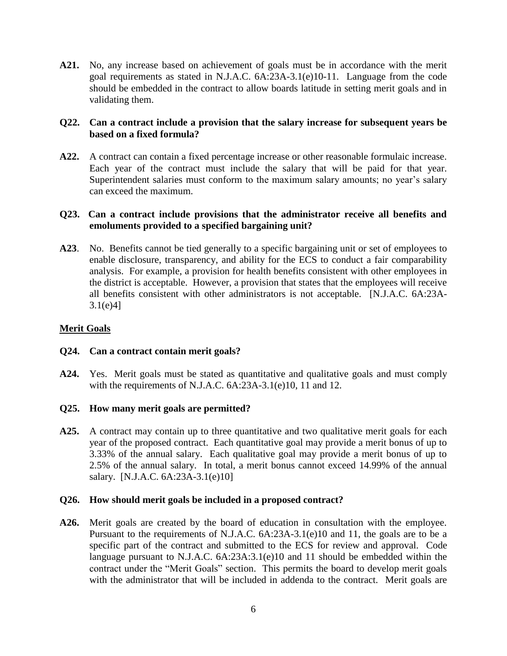**A21.** No, any increase based on achievement of goals must be in accordance with the merit goal requirements as stated in N.J.A.C. 6A:23A-3.1(e)10-11. Language from the code should be embedded in the contract to allow boards latitude in setting merit goals and in validating them.

## **Q22. Can a contract include a provision that the salary increase for subsequent years be based on a fixed formula?**

**A22.** A contract can contain a fixed percentage increase or other reasonable formulaic increase. Each year of the contract must include the salary that will be paid for that year. Superintendent salaries must conform to the maximum salary amounts; no year's salary can exceed the maximum.

## **Q23. Can a contract include provisions that the administrator receive all benefits and emoluments provided to a specified bargaining unit?**

**A23**. No. Benefits cannot be tied generally to a specific bargaining unit or set of employees to enable disclosure, transparency, and ability for the ECS to conduct a fair comparability analysis. For example, a provision for health benefits consistent with other employees in the district is acceptable. However, a provision that states that the employees will receive all benefits consistent with other administrators is not acceptable. [N.J.A.C. 6A:23A-3.1(e)4]

## **Merit Goals**

### **Q24. Can a contract contain merit goals?**

**A24.** Yes. Merit goals must be stated as quantitative and qualitative goals and must comply with the requirements of N.J.A.C. 6A:23A-3.1(e)10, 11 and 12.

### **Q25. How many merit goals are permitted?**

**A25.** A contract may contain up to three quantitative and two qualitative merit goals for each year of the proposed contract. Each quantitative goal may provide a merit bonus of up to 3.33% of the annual salary. Each qualitative goal may provide a merit bonus of up to 2.5% of the annual salary. In total, a merit bonus cannot exceed 14.99% of the annual salary. [N.J.A.C. 6A:23A-3.1(e)10]

#### **Q26. How should merit goals be included in a proposed contract?**

**A26.** Merit goals are created by the board of education in consultation with the employee. Pursuant to the requirements of N.J.A.C. 6A:23A-3.1(e)10 and 11, the goals are to be a specific part of the contract and submitted to the ECS for review and approval. Code language pursuant to N.J.A.C. 6A:23A:3.1(e)10 and 11 should be embedded within the contract under the "Merit Goals" section. This permits the board to develop merit goals with the administrator that will be included in addenda to the contract. Merit goals are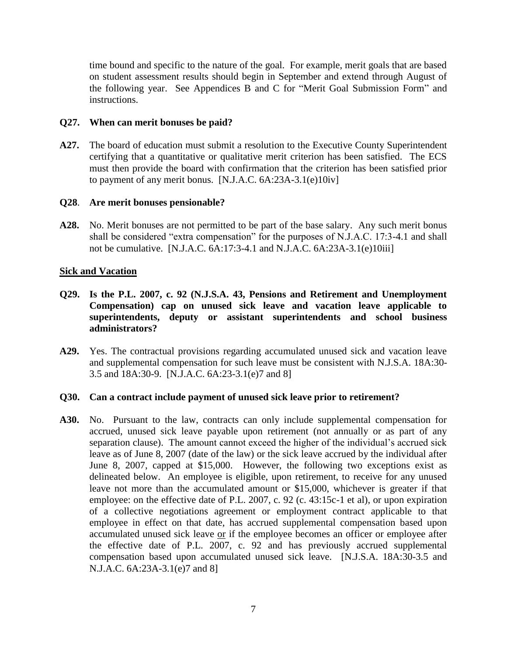time bound and specific to the nature of the goal. For example, merit goals that are based on student assessment results should begin in September and extend through August of the following year.See Appendices B and C for "Merit Goal Submission Form" and instructions.

### **Q27. When can merit bonuses be paid?**

**A27.** The board of education must submit a resolution to the Executive County Superintendent certifying that a quantitative or qualitative merit criterion has been satisfied. The ECS must then provide the board with confirmation that the criterion has been satisfied prior to payment of any merit bonus.  $[N.J.A.C. 6A:23A-3.1(e)10iv]$ 

### **Q28**. **Are merit bonuses pensionable?**

**A28.** No. Merit bonuses are not permitted to be part of the base salary. Any such merit bonus shall be considered "extra compensation" for the purposes of N.J.A.C. 17:3-4.1 and shall not be cumulative. [N.J.A.C. 6A:17:3-4.1 and N.J.A.C. 6A:23A-3.1(e)10iii]

### **Sick and Vacation**

- **Q29. Is the P.L. 2007, c. 92 (N.J.S.A. 43, Pensions and Retirement and Unemployment Compensation) cap on unused sick leave and vacation leave applicable to superintendents, deputy or assistant superintendents and school business administrators?**
- **A29.** Yes. The contractual provisions regarding accumulated unused sick and vacation leave and supplemental compensation for such leave must be consistent with N.J.S.A. 18A:30- 3.5 and 18A:30-9. [N.J.A.C. 6A:23-3.1(e)7 and 8]

#### **Q30. Can a contract include payment of unused sick leave prior to retirement?**

**A30.** No. Pursuant to the law, contracts can only include supplemental compensation for accrued, unused sick leave payable upon retirement (not annually or as part of any separation clause). The amount cannot exceed the higher of the individual's accrued sick leave as of June 8, 2007 (date of the law) or the sick leave accrued by the individual after June 8, 2007, capped at \$15,000. However, the following two exceptions exist as delineated below. An employee is eligible, upon retirement, to receive for any unused leave not more than the accumulated amount or \$15,000, whichever is greater if that employee: on the effective date of P.L. 2007, c. 92 (c. 43:15c-1 et al), or upon expiration of a collective negotiations agreement or employment contract applicable to that employee in effect on that date, has accrued supplemental compensation based upon accumulated unused sick leave or if the employee becomes an officer or employee after the effective date of P.L. 2007, c. 92 and has previously accrued supplemental compensation based upon accumulated unused sick leave. [N.J.S.A. 18A:30-3.5 and N.J.A.C. 6A:23A-3.1(e)7 and 8]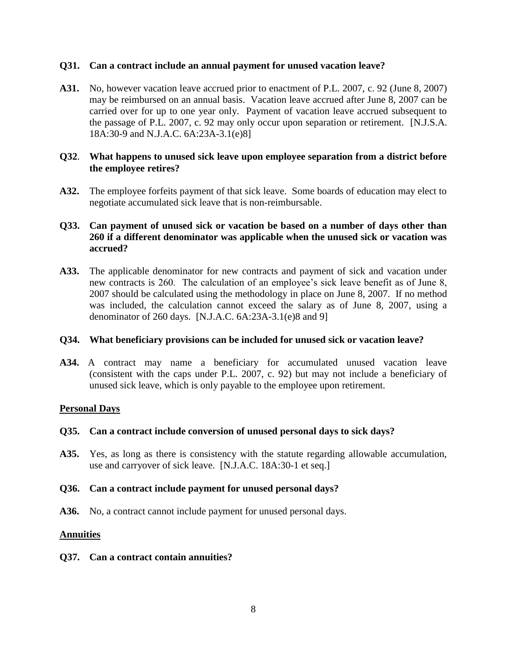### **Q31. Can a contract include an annual payment for unused vacation leave?**

**A31.** No, however vacation leave accrued prior to enactment of P.L. 2007, c. 92 (June 8, 2007) may be reimbursed on an annual basis. Vacation leave accrued after June 8, 2007 can be carried over for up to one year only. Payment of vacation leave accrued subsequent to the passage of P.L. 2007, c. 92 may only occur upon separation or retirement. [N.J.S.A. 18A:30-9 and N.J.A.C. 6A:23A-3.1(e)8]

### **Q32**. **What happens to unused sick leave upon employee separation from a district before the employee retires?**

**A32.** The employee forfeits payment of that sick leave. Some boards of education may elect to negotiate accumulated sick leave that is non-reimbursable.

## **Q33. Can payment of unused sick or vacation be based on a number of days other than 260 if a different denominator was applicable when the unused sick or vacation was accrued?**

**A33.** The applicable denominator for new contracts and payment of sick and vacation under new contracts is 260. The calculation of an employee's sick leave benefit as of June 8, 2007 should be calculated using the methodology in place on June 8, 2007. If no method was included, the calculation cannot exceed the salary as of June 8, 2007, using a denominator of 260 days. [N.J.A.C. 6A:23A-3.1(e)8 and 9]

### **Q34. What beneficiary provisions can be included for unused sick or vacation leave?**

**A34.** A contract may name a beneficiary for accumulated unused vacation leave (consistent with the caps under P.L. 2007, c. 92) but may not include a beneficiary of unused sick leave, which is only payable to the employee upon retirement.

### **Personal Days**

### **Q35. Can a contract include conversion of unused personal days to sick days?**

**A35.** Yes, as long as there is consistency with the statute regarding allowable accumulation, use and carryover of sick leave. [N.J.A.C. 18A:30-1 et seq.]

### **Q36. Can a contract include payment for unused personal days?**

**A36.** No, a contract cannot include payment for unused personal days.

### **Annuities**

#### **Q37. Can a contract contain annuities?**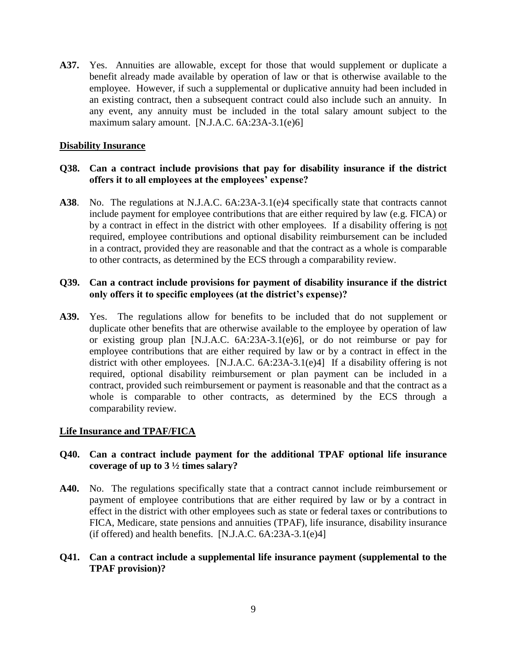**A37.** Yes. Annuities are allowable, except for those that would supplement or duplicate a benefit already made available by operation of law or that is otherwise available to the employee. However, if such a supplemental or duplicative annuity had been included in an existing contract, then a subsequent contract could also include such an annuity. In any event, any annuity must be included in the total salary amount subject to the maximum salary amount. [N.J.A.C. 6A:23A-3.1(e)6]

## **Disability Insurance**

## **Q38. Can a contract include provisions that pay for disability insurance if the district offers it to all employees at the employees' expense?**

**A38**. No. The regulations at N.J.A.C. 6A:23A-3.1(e)4 specifically state that contracts cannot include payment for employee contributions that are either required by law (e.g. FICA) or by a contract in effect in the district with other employees. If a disability offering is not required, employee contributions and optional disability reimbursement can be included in a contract, provided they are reasonable and that the contract as a whole is comparable to other contracts, as determined by the ECS through a comparability review.

## **Q39. Can a contract include provisions for payment of disability insurance if the district only offers it to specific employees (at the district's expense)?**

**A39.** Yes. The regulations allow for benefits to be included that do not supplement or duplicate other benefits that are otherwise available to the employee by operation of law or existing group plan [N.J.A.C. 6A:23A-3.1(e)6], or do not reimburse or pay for employee contributions that are either required by law or by a contract in effect in the district with other employees. [N.J.A.C. 6A:23A-3.1(e)4] If a disability offering is not required, optional disability reimbursement or plan payment can be included in a contract, provided such reimbursement or payment is reasonable and that the contract as a whole is comparable to other contracts, as determined by the ECS through a comparability review.

### **Life Insurance and TPAF/FICA**

### **Q40. Can a contract include payment for the additional TPAF optional life insurance coverage of up to 3 ½ times salary?**

**A40.** No. The regulations specifically state that a contract cannot include reimbursement or payment of employee contributions that are either required by law or by a contract in effect in the district with other employees such as state or federal taxes or contributions to FICA, Medicare, state pensions and annuities (TPAF), life insurance, disability insurance (if offered) and health benefits.  $[N.J.A.C. 6A:23A-3.1(e)4]$ 

### **Q41. Can a contract include a supplemental life insurance payment (supplemental to the TPAF provision)?**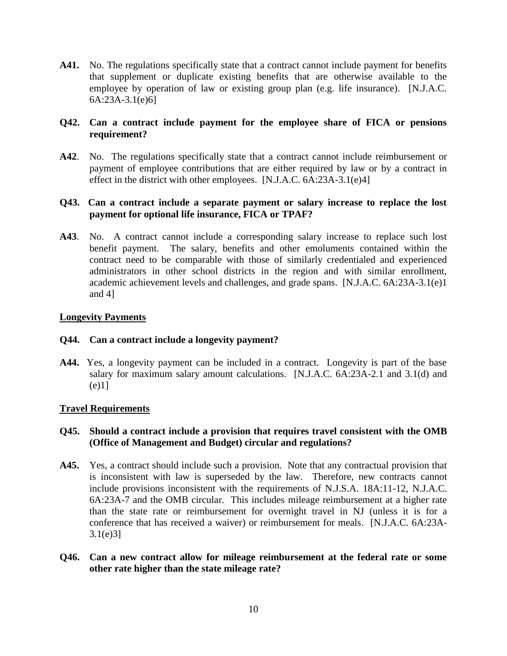**A41.** No. The regulations specifically state that a contract cannot include payment for benefits that supplement or duplicate existing benefits that are otherwise available to the employee by operation of law or existing group plan (e.g. life insurance). [N.J.A.C. 6A:23A-3.1(e)6]

## **Q42. Can a contract include payment for the employee share of FICA or pensions requirement?**

**A42**. No. The regulations specifically state that a contract cannot include reimbursement or payment of employee contributions that are either required by law or by a contract in effect in the district with other employees. [N.J.A.C. 6A:23A-3.1(e)4]

## **Q43. Can a contract include a separate payment or salary increase to replace the lost payment for optional life insurance, FICA or TPAF?**

**A43**. No. A contract cannot include a corresponding salary increase to replace such lost benefit payment. The salary, benefits and other emoluments contained within the contract need to be comparable with those of similarly credentialed and experienced administrators in other school districts in the region and with similar enrollment, academic achievement levels and challenges, and grade spans. [N.J.A.C. 6A:23A-3.1(e)1 and 4]

## **Longevity Payments**

### **Q44. Can a contract include a longevity payment?**

**A44.** Yes, a longevity payment can be included in a contract. Longevity is part of the base salary for maximum salary amount calculations. [N.J.A.C. 6A:23A-2.1 and 3.1(d) and (e)1]

### **Travel Requirements**

## **Q45. Should a contract include a provision that requires travel consistent with the OMB (Office of Management and Budget) circular and regulations?**

- **A45.** Yes, a contract should include such a provision. Note that any contractual provision that is inconsistent with law is superseded by the law. Therefore, new contracts cannot include provisions inconsistent with the requirements of N.J.S.A. 18A:11-12, N.J.A.C. 6A:23A-7 and the OMB circular. This includes mileage reimbursement at a higher rate than the state rate or reimbursement for overnight travel in NJ (unless it is for a conference that has received a waiver) or reimbursement for meals. [N.J.A.C. 6A:23A-3.1(e)3]
- **Q46. Can a new contract allow for mileage reimbursement at the federal rate or some other rate higher than the state mileage rate?**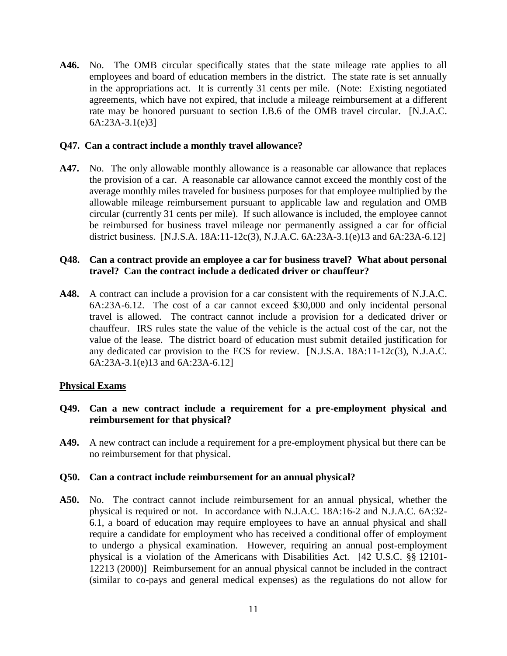**A46.** No. The OMB circular specifically states that the state mileage rate applies to all employees and board of education members in the district. The state rate is set annually in the appropriations act. It is currently 31 cents per mile. (Note: Existing negotiated agreements, which have not expired, that include a mileage reimbursement at a different rate may be honored pursuant to section I.B.6 of the OMB travel circular. [N.J.A.C. 6A:23A-3.1(e)3]

### **Q47. Can a contract include a monthly travel allowance?**

**A47.** No. The only allowable monthly allowance is a reasonable car allowance that replaces the provision of a car. A reasonable car allowance cannot exceed the monthly cost of the average monthly miles traveled for business purposes for that employee multiplied by the allowable mileage reimbursement pursuant to applicable law and regulation and OMB circular (currently 31 cents per mile). If such allowance is included, the employee cannot be reimbursed for business travel mileage nor permanently assigned a car for official district business. [N.J.S.A. 18A:11-12c(3), N.J.A.C. 6A:23A-3.1(e)13 and 6A:23A-6.12]

### **Q48. Can a contract provide an employee a car for business travel? What about personal travel? Can the contract include a dedicated driver or chauffeur?**

**A48.** A contract can include a provision for a car consistent with the requirements of N.J.A.C. 6A:23A-6.12. The cost of a car cannot exceed \$30,000 and only incidental personal travel is allowed. The contract cannot include a provision for a dedicated driver or chauffeur. IRS rules state the value of the vehicle is the actual cost of the car, not the value of the lease. The district board of education must submit detailed justification for any dedicated car provision to the ECS for review. [N.J.S.A. 18A:11-12c(3), N.J.A.C. 6A:23A-3.1(e)13 and 6A:23A-6.12]

### **Physical Exams**

### **Q49. Can a new contract include a requirement for a pre-employment physical and reimbursement for that physical?**

**A49.** A new contract can include a requirement for a pre-employment physical but there can be no reimbursement for that physical.

#### **Q50. Can a contract include reimbursement for an annual physical?**

**A50.** No. The contract cannot include reimbursement for an annual physical, whether the physical is required or not. In accordance with N.J.A.C. 18A:16-2 and N.J.A.C. 6A:32- 6.1, a board of education may require employees to have an annual physical and shall require a candidate for employment who has received a conditional offer of employment to undergo a physical examination. However, requiring an annual post-employment physical is a violation of the Americans with Disabilities Act. [42 U.S.C. §§ 12101- 12213 (2000)] Reimbursement for an annual physical cannot be included in the contract (similar to co-pays and general medical expenses) as the regulations do not allow for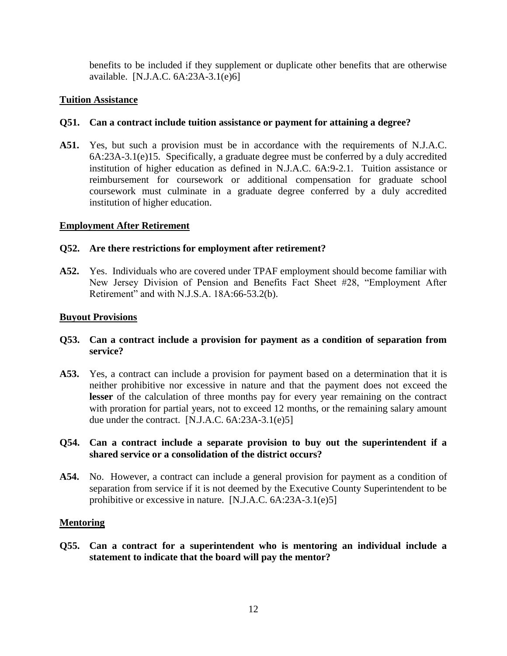benefits to be included if they supplement or duplicate other benefits that are otherwise available. [N.J.A.C. 6A:23A-3.1(e)6]

## **Tuition Assistance**

## **Q51. Can a contract include tuition assistance or payment for attaining a degree?**

**A51.** Yes, but such a provision must be in accordance with the requirements of N.J.A.C. 6A:23A-3.1(e)15. Specifically, a graduate degree must be conferred by a duly accredited institution of higher education as defined in N.J.A.C. 6A:9-2.1. Tuition assistance or reimbursement for coursework or additional compensation for graduate school coursework must culminate in a graduate degree conferred by a duly accredited institution of higher education.

## **Employment After Retirement**

### **Q52. Are there restrictions for employment after retirement?**

**A52.** Yes. Individuals who are covered under TPAF employment should become familiar with New Jersey Division of Pension and Benefits Fact Sheet #28, "Employment After Retirement" and with N.J.S.A. 18A:66-53.2(b).

## **Buyout Provisions**

- **Q53. Can a contract include a provision for payment as a condition of separation from service?**
- **A53.** Yes, a contract can include a provision for payment based on a determination that it is neither prohibitive nor excessive in nature and that the payment does not exceed the **lesser** of the calculation of three months pay for every year remaining on the contract with proration for partial years, not to exceed 12 months, or the remaining salary amount due under the contract. [N.J.A.C. 6A:23A-3.1(e)5]
- **Q54. Can a contract include a separate provision to buy out the superintendent if a shared service or a consolidation of the district occurs?**
- **A54.** No. However, a contract can include a general provision for payment as a condition of separation from service if it is not deemed by the Executive County Superintendent to be prohibitive or excessive in nature. [N.J.A.C. 6A:23A-3.1(e)5]

### **Mentoring**

**Q55. Can a contract for a superintendent who is mentoring an individual include a statement to indicate that the board will pay the mentor?**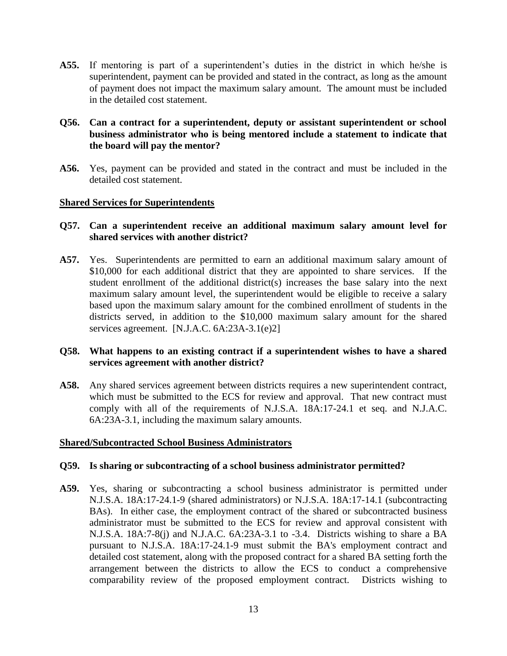**A55.** If mentoring is part of a superintendent's duties in the district in which he/she is superintendent, payment can be provided and stated in the contract, as long as the amount of payment does not impact the maximum salary amount. The amount must be included in the detailed cost statement.

## **Q56. Can a contract for a superintendent, deputy or assistant superintendent or school business administrator who is being mentored include a statement to indicate that the board will pay the mentor?**

**A56.** Yes, payment can be provided and stated in the contract and must be included in the detailed cost statement.

### **Shared Services for Superintendents**

## **Q57. Can a superintendent receive an additional maximum salary amount level for shared services with another district?**

**A57.** Yes. Superintendents are permitted to earn an additional maximum salary amount of \$10,000 for each additional district that they are appointed to share services. If the student enrollment of the additional district(s) increases the base salary into the next maximum salary amount level, the superintendent would be eligible to receive a salary based upon the maximum salary amount for the combined enrollment of students in the districts served, in addition to the \$10,000 maximum salary amount for the shared services agreement. [N.J.A.C. 6A:23A-3.1(e)2]

## **Q58. What happens to an existing contract if a superintendent wishes to have a shared services agreement with another district?**

**A58.** Any shared services agreement between districts requires a new superintendent contract, which must be submitted to the ECS for review and approval. That new contract must comply with all of the requirements of N.J.S.A. 18A:17-24.1 et seq. and N.J.A.C. 6A:23A-3.1, including the maximum salary amounts.

### **Shared/Subcontracted School Business Administrators**

### **Q59. Is sharing or subcontracting of a school business administrator permitted?**

**A59.** Yes, sharing or subcontracting a school business administrator is permitted under N.J.S.A. 18A:17-24.1-9 (shared administrators) or N.J.S.A. 18A:17-14.1 (subcontracting BAs). In either case, the employment contract of the shared or subcontracted business administrator must be submitted to the ECS for review and approval consistent with N.J.S.A. 18A:7-8(j) and N.J.A.C. 6A:23A-3.1 to -3.4. Districts wishing to share a BA pursuant to N.J.S.A. 18A:17-24.1-9 must submit the BA's employment contract and detailed cost statement, along with the proposed contract for a shared BA setting forth the arrangement between the districts to allow the ECS to conduct a comprehensive comparability review of the proposed employment contract. Districts wishing to